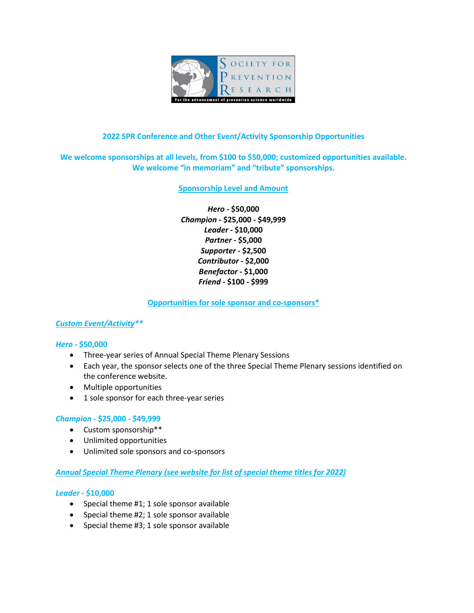

## **2022 SPR Conference and Other Event/Activity Sponsorship Opportunities**

# **We welcome sponsorships at all levels, from \$100 to \$50,000; customized opportunities available. We welcome "in memoriam" and "tribute" sponsorships.**

## **Sponsorship Level and Amount**

*Hero* **- \$50,000** *Champion* **- \$25,000 - \$49,999** *Leader* **- \$10,000** *Partner* **- \$5,000** *Supporter* **- \$2,500** *Contributor* **- \$2,000** *Benefactor* **- \$1,000** *Friend* **- \$100 - \$999**

## **Opportunities for sole sponsor and co-sponsors\***

## *Custom Event/Activity\*\**

#### *Hero* **- \$50,000**

- Three-year series of Annual Special Theme Plenary Sessions
- Each year, the sponsor selects one of the three Special Theme Plenary sessions identified on the conference website.
- Multiple opportunities
- 1 sole sponsor for each three-year series

#### *Champion* **- \$25,000 - \$49,999**

- Custom sponsorship\*\*
- Unlimited opportunities
- Unlimited sole sponsors and co-sponsors

## *Annual Special Theme Plenary (see website for list of special theme titles for 2022)*

#### *Leader* **- \$10,000**

- Special theme #1; 1 sole sponsor available
- Special theme #2; 1 sole sponsor available
- Special theme #3; 1 sole sponsor available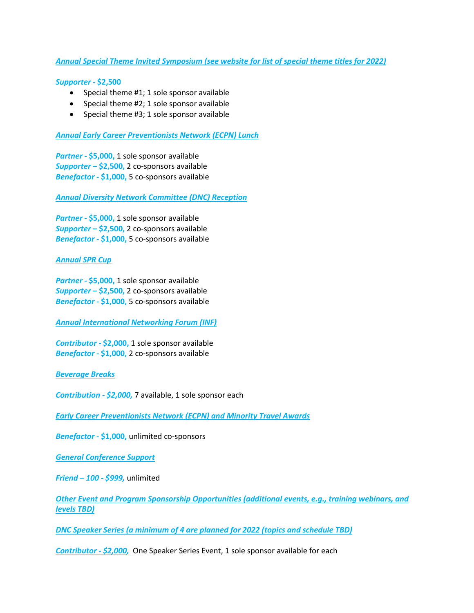## *Annual Special Theme Invited Symposium (see website for list of special theme titles for 2022)*

#### *Supporter* **- \$2,500**

- Special theme #1; 1 sole sponsor available
- Special theme #2; 1 sole sponsor available
- Special theme #3; 1 sole sponsor available

## *Annual Early Career Preventionists Network (ECPN) Lunch*

*Partner* **- \$5,000,** 1 sole sponsor available *Supporter* **– \$2,500,** 2 co-sponsors available *Benefactor* **- \$1,000,** 5 co-sponsors available

*Annual Diversity Network Committee (DNC) Reception*

*Partner* **- \$5,000,** 1 sole sponsor available *Supporter* **– \$2,500,** 2 co-sponsors available *Benefactor* **- \$1,000,** 5 co-sponsors available

#### *Annual SPR Cup*

*Partner* **- \$5,000,** 1 sole sponsor available *Supporter* **– \$2,500,** 2 co-sponsors available *Benefactor* **- \$1,000,** 5 co-sponsors available

*Annual International Networking Forum (INF)*

*Contributor* **- \$2,000,** 1 sole sponsor available *Benefactor* **- \$1,000,** 2 co-sponsors available

#### *Beverage Breaks*

*Contribution - \$2,000,* 7 available, 1 sole sponsor each

*Early Career Preventionists Network (ECPN) and Minority Travel Awards*

*Benefactor* **- \$1,000,** unlimited co-sponsors

*General Conference Support* 

*Friend – 100 - \$999,* unlimited

*Other Event and Program Sponsorship Opportunities (additional events, e.g., training webinars, and levels TBD)*

*DNC Speaker Series (a minimum of 4 are planned for 2022 (topics and schedule TBD)*

*Contributor - \$2,000,* One Speaker Series Event, 1 sole sponsor available for each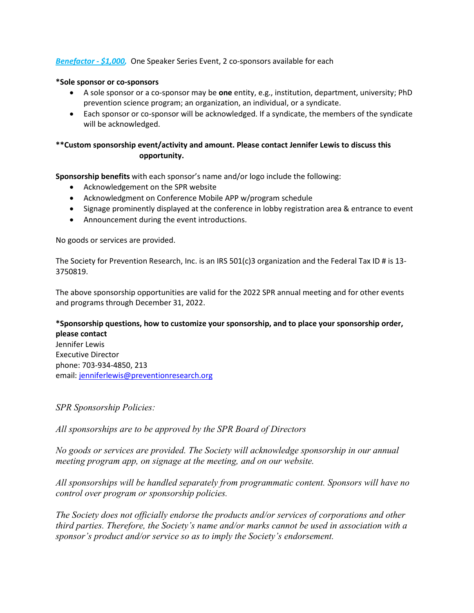## *Benefactor - \$1,000,* One Speaker Series Event, 2 co-sponsors available for each

## **\*Sole sponsor or co-sponsors**

- A sole sponsor or a co-sponsor may be **one** entity, e.g., institution, department, university; PhD prevention science program; an organization, an individual, or a syndicate.
- Each sponsor or co-sponsor will be acknowledged. If a syndicate, the members of the syndicate will be acknowledged.

# **\*\*Custom sponsorship event/activity and amount. Please contact Jennifer Lewis to discuss this opportunity.**

**Sponsorship benefits** with each sponsor's name and/or logo include the following:

- Acknowledgement on the SPR website
- Acknowledgment on Conference Mobile APP w/program schedule
- Signage prominently displayed at the conference in lobby registration area & entrance to event
- Announcement during the event introductions.

No goods or services are provided.

The Society for Prevention Research, Inc. is an IRS 501(c)3 organization and the Federal Tax ID # is 13- 3750819.

The above sponsorship opportunities are valid for the 2022 SPR annual meeting and for other events and programs through December 31, 2022.

# **\*Sponsorship questions, how to customize your sponsorship, and to place your sponsorship order, please contact**

Jennifer Lewis Executive Director phone: 703-934-4850, 213 email: [jenniferlewis@preventionresearch.org](mailto:jenniferlewis@preventionresearch.org)

*SPR Sponsorship Policies:*

*All sponsorships are to be approved by the SPR Board of Directors*

*No goods or services are provided. The Society will acknowledge sponsorship in our annual meeting program app, on signage at the meeting, and on our website.*

*All sponsorships will be handled separately from programmatic content. Sponsors will have no control over program or sponsorship policies.*

*The Society does not officially endorse the products and/or services of corporations and other third parties. Therefore, the Society's name and/or marks cannot be used in association with a sponsor's product and/or service so as to imply the Society's endorsement.*